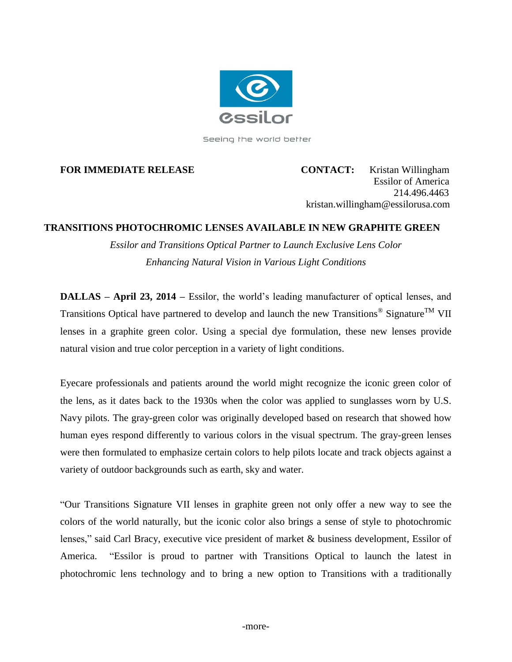

Seeing the world better

**FOR IMMEDIATE RELEASE CONTACT:** Kristan Willingham Essilor of America 214.496.4463 kristan.willingham@essilorusa.com

# **TRANSITIONS PHOTOCHROMIC LENSES AVAILABLE IN NEW GRAPHITE GREEN**

*Essilor and Transitions Optical Partner to Launch Exclusive Lens Color Enhancing Natural Vision in Various Light Conditions*

**DALLAS – April 23, 2014 –** Essilor, the world's leading manufacturer of optical lenses, and Transitions Optical have partnered to develop and launch the new Transitions<sup>®</sup> Signature<sup>TM</sup> VII lenses in a graphite green color. Using a special dye formulation, these new lenses provide natural vision and true color perception in a variety of light conditions.

Eyecare professionals and patients around the world might recognize the iconic green color of the lens, as it dates back to the 1930s when the color was applied to sunglasses worn by U.S. Navy pilots. The gray-green color was originally developed based on research that showed how human eyes respond differently to various colors in the visual spectrum. The gray-green lenses were then formulated to emphasize certain colors to help pilots locate and track objects against a variety of outdoor backgrounds such as earth, sky and water.

"Our Transitions Signature VII lenses in graphite green not only offer a new way to see the colors of the world naturally, but the iconic color also brings a sense of style to photochromic lenses," said Carl Bracy, executive vice president of market & business development, Essilor of America. "Essilor is proud to partner with Transitions Optical to launch the latest in photochromic lens technology and to bring a new option to Transitions with a traditionally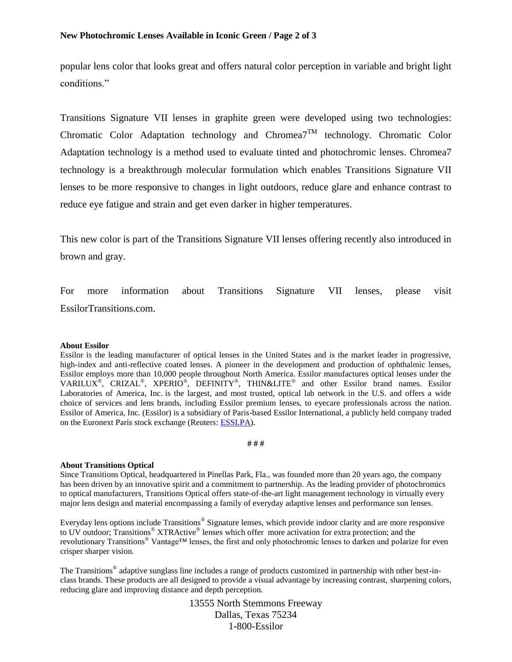popular lens color that looks great and offers natural color perception in variable and bright light conditions."

Transitions Signature VII lenses in graphite green were developed using two technologies: Chromatic Color Adaptation technology and Chromea<sup>7TM</sup> technology. Chromatic Color Adaptation technology is a method used to evaluate tinted and photochromic lenses. Chromea7 technology is a breakthrough molecular formulation which enables Transitions Signature VII lenses to be more responsive to changes in light outdoors, reduce glare and enhance contrast to reduce eye fatigue and strain and get even darker in higher temperatures.

This new color is part of the Transitions Signature VII lenses offering recently also introduced in brown and gray.

For more information about Transitions Signature VII lenses, please visit EssilorTransitions.com.

#### **About Essilor**

Essilor is the leading manufacturer of optical lenses in the United States and is the market leader in progressive, high-index and anti-reflective coated lenses. A pioneer in the development and production of ophthalmic lenses, Essilor employs more than 10,000 people throughout North America. Essilor manufactures optical lenses under the VARILUX<sup>®</sup>, CRIZAL<sup>®</sup>, XPERIO<sup>®</sup>, DEFINITY<sup>®</sup>, THIN&LITE<sup>®</sup> and other Essilor brand names. Essilor Laboratories of America, Inc. is the largest, and most trusted, optical lab network in the U.S. and offers a wide choice of services and lens brands, including Essilor premium lenses, to eyecare professionals across the nation. Essilor of America, Inc. (Essilor) is a subsidiary of Paris-based Essilor International, a publicly held company traded on the Euronext Paris stock exchange (Reuters: [ESSI.PA\)](http://essi.pa/).

#### **# # #**

### **About Transitions Optical**

Since Transitions Optical, headquartered in Pinellas Park, Fla., was founded more than 20 years ago, the company has been driven by an innovative spirit and a commitment to partnership. As the leading provider of photochromics to optical manufacturers, Transitions Optical offers state-of-the-art light management technology in virtually every major lens design and material encompassing a family of everyday adaptive lenses and performance sun lenses.

Everyday lens options include Transitions® Signature lenses, which provide indoor clarity and are more responsive to UV outdoor; Transitions® XTRActive® lenses which offer more activation for extra protection; and the revolutionary Transitions® Vantage™ lenses, the first and only photochromic lenses to darken and polarize for even crisper sharper vision.

The Transitions<sup>®</sup> adaptive sunglass line includes a range of products customized in partnership with other best-inclass brands. These products are all designed to provide a visual advantage by increasing contrast, sharpening colors, reducing glare and improving distance and depth perception.

> 13555 North Stemmons Freeway Dallas, Texas 75234 1-800-Essilor